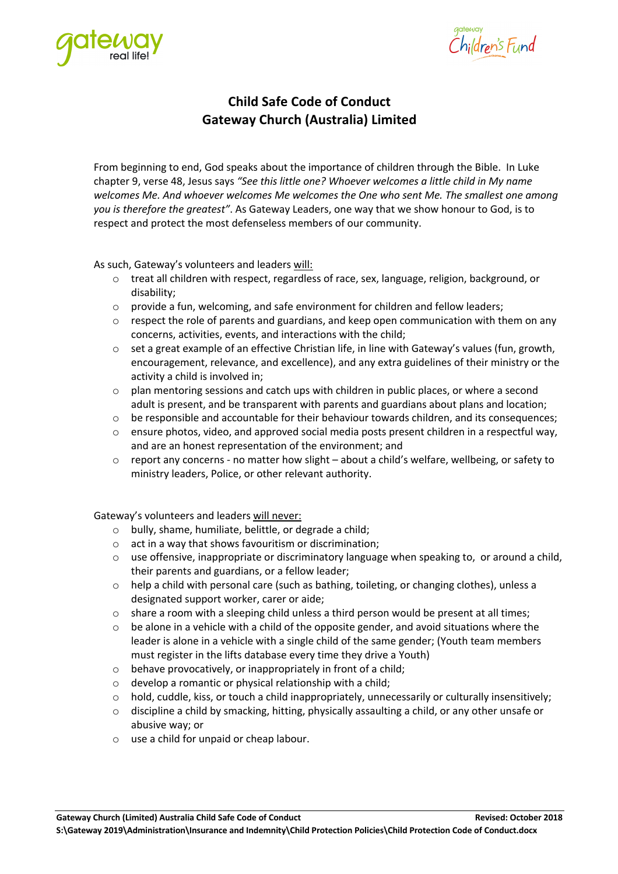



# **Child Safe Code of Conduct Gateway Church (Australia) Limited**

From beginning to end, God speaks about the importance of children through the Bible. In Luke chapter 9, verse 48, Jesus says *"See this little one? Whoever welcomes a little child in My name welcomes Me. And whoever welcomes Me welcomes the One who sent Me. The smallest one among you is therefore the greatest"*. As Gateway Leaders, one way that we show honour to God, is to respect and protect the most defenseless members of our community.

As such, Gateway's volunteers and leaders will:

- o treat all children with respect, regardless of race, sex, language, religion, background, or disability;
- o provide a fun, welcoming, and safe environment for children and fellow leaders;
- o respect the role of parents and guardians, and keep open communication with them on any concerns, activities, events, and interactions with the child;
- o set a great example of an effective Christian life, in line with Gateway's values (fun, growth, encouragement, relevance, and excellence), and any extra guidelines of their ministry or the activity a child is involved in;
- o plan mentoring sessions and catch ups with children in public places, or where a second adult is present, and be transparent with parents and guardians about plans and location;
- o be responsible and accountable for their behaviour towards children, and its consequences;
- o ensure photos, video, and approved social media posts present children in a respectful way, and are an honest representation of the environment; and
- $\circ$  report any concerns no matter how slight about a child's welfare, wellbeing, or safety to ministry leaders, Police, or other relevant authority.

Gateway's volunteers and leaders will never:

- o bully, shame, humiliate, belittle, or degrade a child;
- $\circ$  act in a way that shows favouritism or discrimination;
- $\circ$  use offensive, inappropriate or discriminatory language when speaking to, or around a child, their parents and guardians, or a fellow leader;
- $\circ$  help a child with personal care (such as bathing, toileting, or changing clothes), unless a designated support worker, carer or aide;
- o share a room with a sleeping child unless a third person would be present at all times;
- o be alone in a vehicle with a child of the opposite gender, and avoid situations where the leader is alone in a vehicle with a single child of the same gender; (Youth team members must register in the lifts database every time they drive a Youth)
- $\circ$  behave provocatively, or inappropriately in front of a child;
- o develop a romantic or physical relationship with a child;
- o hold, cuddle, kiss, or touch a child inappropriately, unnecessarily or culturally insensitively;
- $\circ$  discipline a child by smacking, hitting, physically assaulting a child, or any other unsafe or abusive way; or
- o use a child for unpaid or cheap labour.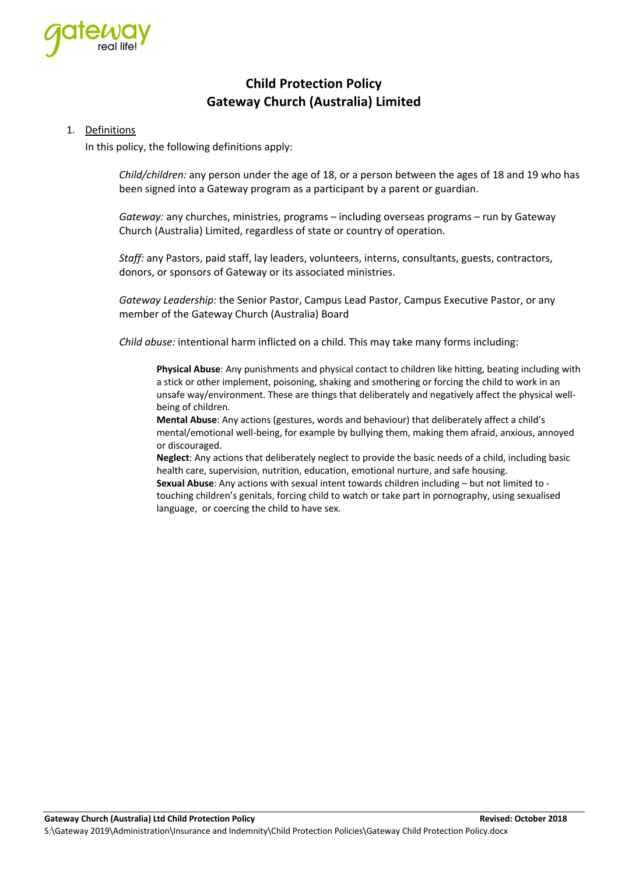

# **Child Protection Policy Gateway Church (Australia) Limited**

### 1. Definitions

In this policy, the following definitions apply:

*Child/children:* any person under the age of 18, or a person between the ages of 18 and 19 who has been signed into a Gateway program as a participant by a parent or guardian.

*Gateway:* any churches, ministries, programs – including overseas programs – run by Gateway Church (Australia) Limited, regardless of state or country of operation.

*Staff:* any Pastors, paid staff, lay leaders, volunteers, interns, consultants, guests, contractors, donors, or sponsors of Gateway or its associated ministries.

*Gateway Leadership:* the Senior Pastor, Campus Lead Pastor, Campus Executive Pastor, or any member of the Gateway Church (Australia) Board

*Child abuse:* intentional harm inflicted on a child. This may take many forms including:

**Physical Abuse**: Any punishments and physical contact to children like hitting, beating including with a stick or other implement, poisoning, shaking and smothering or forcing the child to work in an unsafe way/environment. These are things that deliberately and negatively affect the physical wellbeing of children.

**Mental Abuse**: Any actions (gestures, words and behaviour) that deliberately affect a child's mental/emotional well-being, for example by bullying them, making them afraid, anxious, annoyed or discouraged.

**Neglect**: Any actions that deliberately neglect to provide the basic needs of a child, including basic health care, supervision, nutrition, education, emotional nurture, and safe housing.

**Sexual Abuse**: Any actions with sexual intent towards children including – but not limited to touching children's genitals, forcing child to watch or take part in pornography, using sexualised language, or coercing the child to have sex.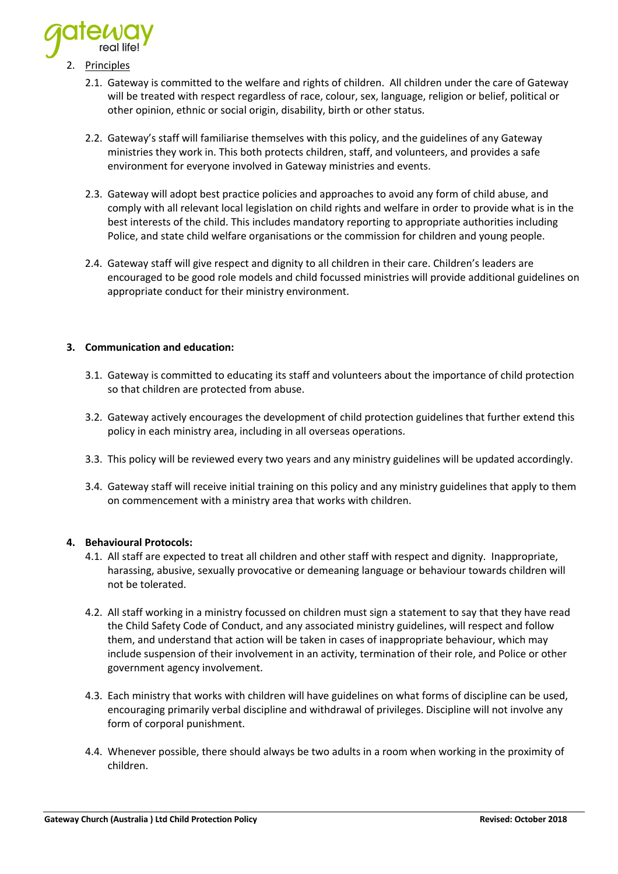

- **Principles** 
	- 2.1. Gateway is committed to the welfare and rights of children. All children under the care of Gateway will be treated with respect regardless of race, colour, sex, language, religion or belief, political or other opinion, ethnic or social origin, disability, birth or other status.
	- 2.2. Gateway's staff will familiarise themselves with this policy, and the guidelines of any Gateway ministries they work in. This both protects children, staff, and volunteers, and provides a safe environment for everyone involved in Gateway ministries and events.
	- 2.3. Gateway will adopt best practice policies and approaches to avoid any form of child abuse, and comply with all relevant local legislation on child rights and welfare in order to provide what is in the best interests of the child. This includes mandatory reporting to appropriate authorities including Police, and state child welfare organisations or the commission for children and young people.
	- 2.4. Gateway staff will give respect and dignity to all children in their care. Children's leaders are encouraged to be good role models and child focussed ministries will provide additional guidelines on appropriate conduct for their ministry environment.

#### **3. Communication and education:**

- 3.1. Gateway is committed to educating its staff and volunteers about the importance of child protection so that children are protected from abuse.
- 3.2. Gateway actively encourages the development of child protection guidelines that further extend this policy in each ministry area, including in all overseas operations.
- 3.3. This policy will be reviewed every two years and any ministry guidelines will be updated accordingly.
- 3.4. Gateway staff will receive initial training on this policy and any ministry guidelines that apply to them on commencement with a ministry area that works with children.

#### **4. Behavioural Protocols:**

- 4.1. All staff are expected to treat all children and other staff with respect and dignity. Inappropriate, harassing, abusive, sexually provocative or demeaning language or behaviour towards children will not be tolerated.
- 4.2. All staff working in a ministry focussed on children must sign a statement to say that they have read the Child Safety Code of Conduct, and any associated ministry guidelines, will respect and follow them, and understand that action will be taken in cases of inappropriate behaviour, which may include suspension of their involvement in an activity, termination of their role, and Police or other government agency involvement.
- 4.3. Each ministry that works with children will have guidelines on what forms of discipline can be used, encouraging primarily verbal discipline and withdrawal of privileges. Discipline will not involve any form of corporal punishment.
- 4.4. Whenever possible, there should always be two adults in a room when working in the proximity of children.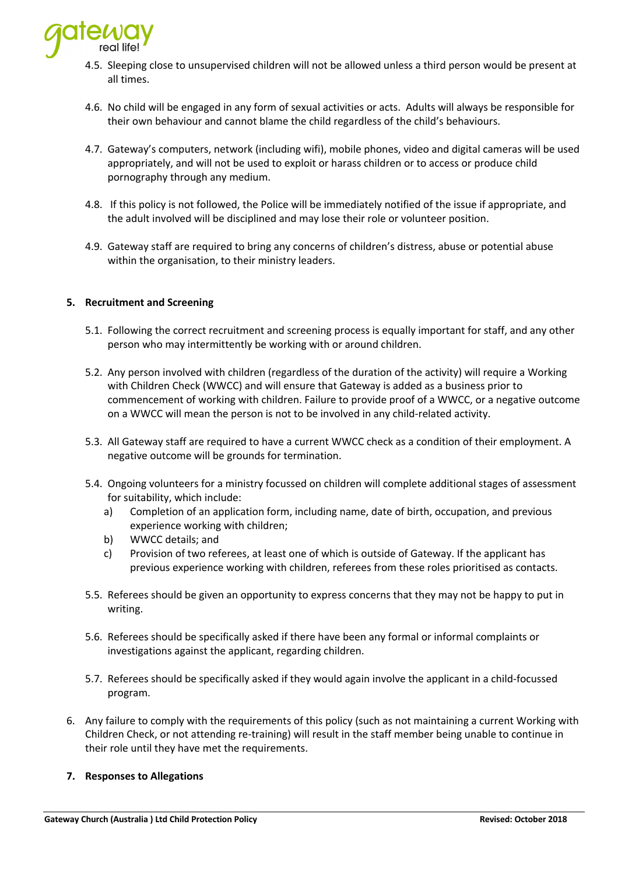

- 4.5. Sleeping close to unsupervised children will not be allowed unless a third person would be present at all times.
- 4.6. No child will be engaged in any form of sexual activities or acts. Adults will always be responsible for their own behaviour and cannot blame the child regardless of the child's behaviours.
- 4.7. Gateway's computers, network (including wifi), mobile phones, video and digital cameras will be used appropriately, and will not be used to exploit or harass children or to access or produce child pornography through any medium.
- 4.8. If this policy is not followed, the Police will be immediately notified of the issue if appropriate, and the adult involved will be disciplined and may lose their role or volunteer position.
- 4.9. Gateway staff are required to bring any concerns of children's distress, abuse or potential abuse within the organisation, to their ministry leaders.

#### **5. Recruitment and Screening**

- 5.1. Following the correct recruitment and screening process is equally important for staff, and any other person who may intermittently be working with or around children.
- 5.2. Any person involved with children (regardless of the duration of the activity) will require a Working with Children Check (WWCC) and will ensure that Gateway is added as a business prior to commencement of working with children. Failure to provide proof of a WWCC, or a negative outcome on a WWCC will mean the person is not to be involved in any child-related activity.
- 5.3. All Gateway staff are required to have a current WWCC check as a condition of their employment. A negative outcome will be grounds for termination.
- 5.4. Ongoing volunteers for a ministry focussed on children will complete additional stages of assessment for suitability, which include:
	- a) Completion of an application form, including name, date of birth, occupation, and previous experience working with children;
	- b) WWCC details; and
	- c) Provision of two referees, at least one of which is outside of Gateway. If the applicant has previous experience working with children, referees from these roles prioritised as contacts.
- 5.5. Referees should be given an opportunity to express concerns that they may not be happy to put in writing.
- 5.6. Referees should be specifically asked if there have been any formal or informal complaints or investigations against the applicant, regarding children.
- 5.7. Referees should be specifically asked if they would again involve the applicant in a child-focussed program.
- 6. Any failure to comply with the requirements of this policy (such as not maintaining a current Working with Children Check, or not attending re-training) will result in the staff member being unable to continue in their role until they have met the requirements.

#### **7. Responses to Allegations**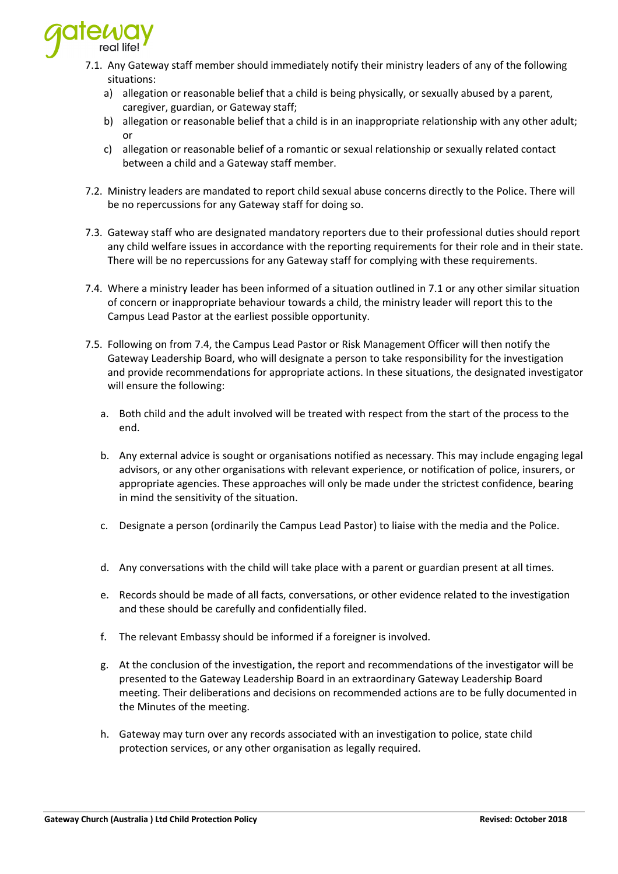

- 7.1. Any Gateway staff member should immediately notify their ministry leaders of any of the following situations:
	- a) allegation or reasonable belief that a child is being physically, or sexually abused by a parent, caregiver, guardian, or Gateway staff;
	- b) allegation or reasonable belief that a child is in an inappropriate relationship with any other adult; or
	- c) allegation or reasonable belief of a romantic or sexual relationship or sexually related contact between a child and a Gateway staff member.
- 7.2. Ministry leaders are mandated to report child sexual abuse concerns directly to the Police. There will be no repercussions for any Gateway staff for doing so.
- 7.3. Gateway staff who are designated mandatory reporters due to their professional duties should report any child welfare issues in accordance with the reporting requirements for their role and in their state. There will be no repercussions for any Gateway staff for complying with these requirements.
- 7.4. Where a ministry leader has been informed of a situation outlined in 7.1 or any other similar situation of concern or inappropriate behaviour towards a child, the ministry leader will report this to the Campus Lead Pastor at the earliest possible opportunity.
- 7.5. Following on from 7.4, the Campus Lead Pastor or Risk Management Officer will then notify the Gateway Leadership Board, who will designate a person to take responsibility for the investigation and provide recommendations for appropriate actions. In these situations, the designated investigator will ensure the following:
	- a. Both child and the adult involved will be treated with respect from the start of the process to the end.
	- b. Any external advice is sought or organisations notified as necessary. This may include engaging legal advisors, or any other organisations with relevant experience, or notification of police, insurers, or appropriate agencies. These approaches will only be made under the strictest confidence, bearing in mind the sensitivity of the situation.
	- c. Designate a person (ordinarily the Campus Lead Pastor) to liaise with the media and the Police.
	- d. Any conversations with the child will take place with a parent or guardian present at all times.
	- e. Records should be made of all facts, conversations, or other evidence related to the investigation and these should be carefully and confidentially filed.
	- f. The relevant Embassy should be informed if a foreigner is involved.
	- g. At the conclusion of the investigation, the report and recommendations of the investigator will be presented to the Gateway Leadership Board in an extraordinary Gateway Leadership Board meeting. Their deliberations and decisions on recommended actions are to be fully documented in the Minutes of the meeting.
	- h. Gateway may turn over any records associated with an investigation to police, state child protection services, or any other organisation as legally required.